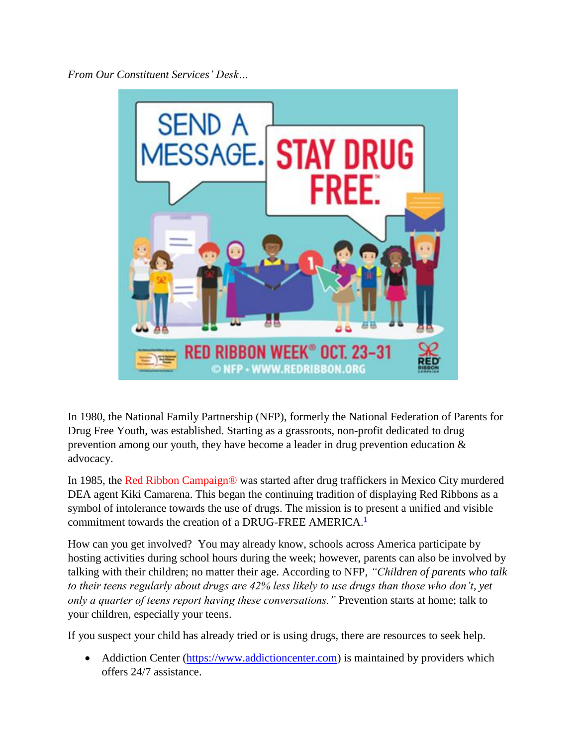*From Our Constituent Services' Desk…*



In 1980, the National Family Partnership (NFP), formerly the National Federation of Parents for Drug Free Youth, was established. Starting as a grassroots, non-profit dedicated to drug prevention among our youth, they have become a leader in drug prevention education & advocacy.

In 1985, the Red Ribbon Campaign® was started after drug traffickers in Mexico City murdered DEA agent Kiki Camarena. This began the continuing tradition of displaying Red Ribbons as a symbol of intolerance towards the use of drugs. The mission is to present a unified and visible commitment towards the creation of a DRUG-FREE AMERICA.<sup>[1](http://redribbon.org/about/)</sup>

How can you get involved? You may already know, schools across America participate by hosting activities during school hours during the week; however, parents can also be involved by talking with their children; no matter their age. According to NFP, *"Children of parents who talk to their teens regularly about drugs are 42% less likely to use drugs than those who don't, yet only a quarter of teens report having these conversations."* Prevention starts at home; talk to your children, especially your teens.

If you suspect your child has already tried or is using drugs, there are resources to seek help.

• Addiction Center [\(https://www.addictioncenter.com\)](https://www.addictioncenter.com/) is maintained by providers which offers 24/7 assistance.